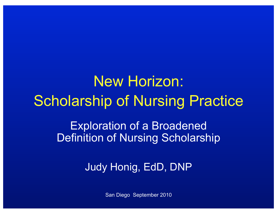# New Horizon: Scholarship of Nursing Practice

Exploration of a Broadened Definition of Nursing Scholarship

Judy Honig, EdD, DNP

San Diego September 2010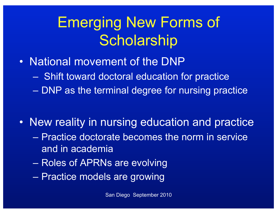#### Emerging New Forms of **Scholarship**

- National movement of the DNP
	- Shift toward doctoral education for practice
	- DNP as the terminal degree for nursing practice
- New reality in nursing education and practice
	- Practice doctorate becomes the norm in service and in academia
	- Roles of APRNs are evolving
	- Practice models are growing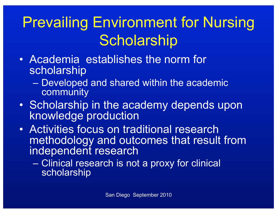### Prevailing Environment for Nursing **Scholarship**

- Academia establishes the norm for scholarship
	- Developed and shared within the academic community
- Scholarship in the academy depends upon knowledge production
- Activities focus on traditional research methodology and outcomes that result from independent research
	- Clinical research is not a proxy for clinical scholarship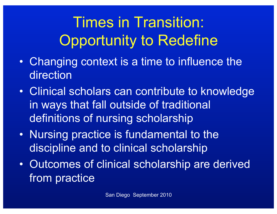# Times in Transition: Opportunity to Redefine

- Changing context is a time to influence the direction
- Clinical scholars can contribute to knowledge in ways that fall outside of traditional definitions of nursing scholarship
- Nursing practice is fundamental to the discipline and to clinical scholarship
- Outcomes of clinical scholarship are derived from practice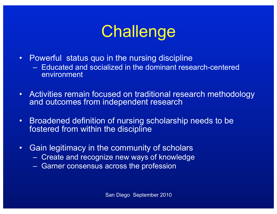# **Challenge**

- Powerful status quo in the nursing discipline
	- Educated and socialized in the dominant research-centered environment
- Activities remain focused on traditional research methodology and outcomes from independent research
- Broadened definition of nursing scholarship needs to be fostered from within the discipline
- Gain legitimacy in the community of scholars
	- Create and recognize new ways of knowledge
	- Garner consensus across the profession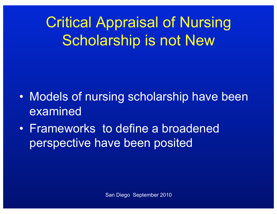Critical Appraisal of Nursing Scholarship is not New

- Models of nursing scholarship have been examined
- Frameworks to define a broadened perspective have been posited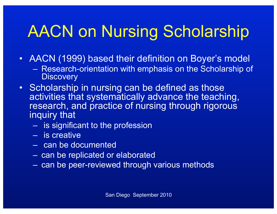# AACN on Nursing Scholarship

- AACN (1999) based their definition on Boyer's model
	- Research-orientation with emphasis on the Scholarship of **Discovery**
- Scholarship in nursing can be defined as those activities that systematically advance the teaching, research, and practice of nursing through rigorous inquiry that
	- is significant to the profession
	- is creative
	- can be documented
	- can be replicated or elaborated
	- can be peer-reviewed through various methods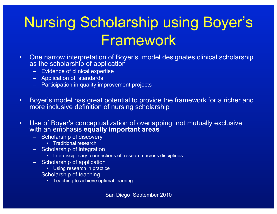#### Nursing Scholarship using Boyer's Framework

- One narrow interpretation of Boyer's model designates clinical scholarship as the scholarship of application
	- Evidence of clinical expertise
	- Application of standards
	- Participation in quality improvement projects
- Boyer's model has great potential to provide the framework for a richer and more inclusive definition of nursing scholarship
- Use of Boyer's conceptualization of overlapping, not mutually exclusive, with an emphasis **equally important areas**
	- Scholarship of discovery
		- Traditional research
	- Scholarship of integration
		- Interdisciplinary connections of research across disciplines
	- Scholarship of application
		- Using research in practice
	- Scholarship of teaching
		- Teaching to achieve optimal learning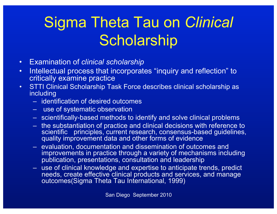# Sigma Theta Tau on *Clinical*  **Scholarship**

- Examination of *clinical scholarship*
- Intellectual process that incorporates "inquiry and reflection" to critically examine practice
- STTI Clinical Scholarship Task Force describes clinical scholarship as including
	- identification of desired outcomes
	- use of systematic observation
	- scientifically-based methods to identify and solve clinical problems
	- the substantiation of practice and clinical decisions with reference to scientific principles, current research, consensus-based guidelines, quality improvement data and other forms of evidence
	- evaluation, documentation and dissemination of outcomes and improvements in practice through a variety of mechanisms including publication, presentations, consultation and leadership
	- use of clinical knowledge and expertise to anticipate trends, predict needs, create effective clinical products and services, and manage outcomes(Sigma Theta Tau International, 1999)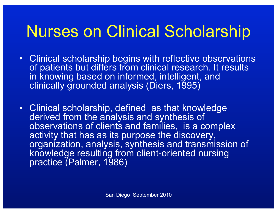# Nurses on Clinical Scholarship

- Clinical scholarship begins with reflective observations of patients but differs from clinical research. It results in knowing based on informed, intelligent, and clinically grounded analysis (Diers, 1995)
- Clinical scholarship, defined as that knowledge derived from the analysis and synthesis of observations of clients and families, is a complex activity that has as its purpose the discovery, organization, analysis, synthesis and transmission of knowledge resulting from client-oriented nursing practice (Palmer, 1986)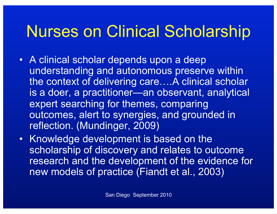# Nurses on Clinical Scholarship

- A clinical scholar depends upon a deep understanding and autonomous preserve within the context of delivering care….A clinical scholar is a doer, a practitioner—an observant, analytical expert searching for themes, comparing outcomes, alert to synergies, and grounded in reflection. (Mundinger, 2009)
- Knowledge development is based on the scholarship of discovery and relates to outcome research and the development of the evidence for new models of practice (Fiandt et al., 2003)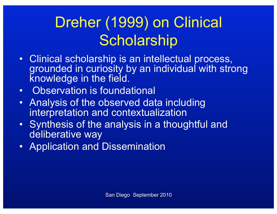#### Dreher (1999) on Clinical **Scholarship**

- Clinical scholarship is an intellectual process, grounded in curiosity by an individual with strong knowledge in the field.
- Observation is foundational
- Analysis of the observed data including interpretation and contextualization
- Synthesis of the analysis in a thoughtful and deliberative way
- Application and Dissemination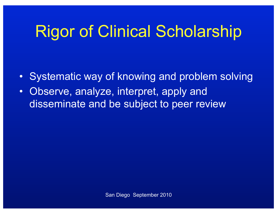# Rigor of Clinical Scholarship

- Systematic way of knowing and problem solving
- Observe, analyze, interpret, apply and disseminate and be subject to peer review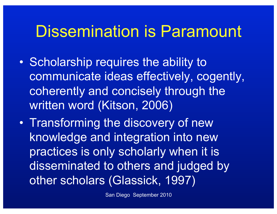#### Dissemination is Paramount

- Scholarship requires the ability to communicate ideas effectively, cogently, coherently and concisely through the written word (Kitson, 2006)
- Transforming the discovery of new knowledge and integration into new practices is only scholarly when it is disseminated to others and judged by other scholars (Glassick, 1997)

San Diego September 2010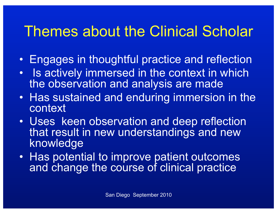#### Themes about the Clinical Scholar

- Engages in thoughtful practice and reflection
- Is actively immersed in the context in which the observation and analysis are made
- Has sustained and enduring immersion in the context
- Uses keen observation and deep reflection that result in new understandings and new knowledge
- Has potential to improve patient outcomes and change the course of clinical practice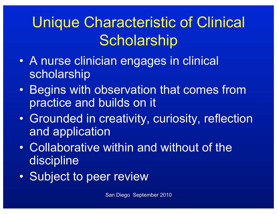### Unique Characteristic of Clinical **Scholarship**

- A nurse clinician engages in clinical scholarship
- Begins with observation that comes from practice and builds on it
- Grounded in creativity, curiosity, reflection and application
- Collaborative within and without of the discipline
- Subject to peer review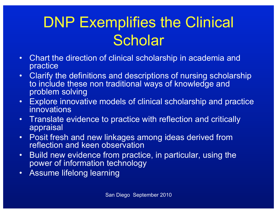#### DNP Exemplifies the Clinical **Scholar**

- Chart the direction of clinical scholarship in academia and practice
- Clarify the definitions and descriptions of nursing scholarship to include these non traditional ways of knowledge and problem solving
- Explore innovative models of clinical scholarship and practice innovations
- Translate evidence to practice with reflection and critically appraisal
- Posit fresh and new linkages among ideas derived from reflection and keen observation
- Build new evidence from practice, in particular, using the power of information technology
- Assume lifelong learning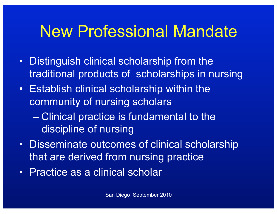#### New Professional Mandate

- Distinguish clinical scholarship from the traditional products of scholarships in nursing
- Establish clinical scholarship within the community of nursing scholars
	- Clinical practice is fundamental to the discipline of nursing
- Disseminate outcomes of clinical scholarship that are derived from nursing practice
- Practice as a clinical scholar